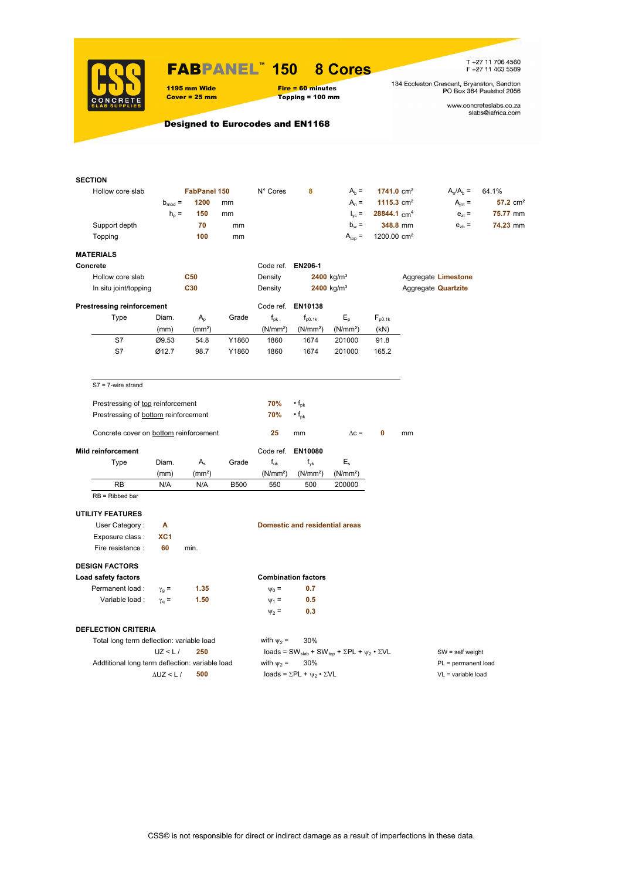

### FABPANEL**™ 150 8 Cores**

### 1195 mm Wide Fire = 60 minutes<br>
Cover = 25 mm Topping = 100 mm  $Topping = 100 mm$

T +27 11 706 4560<br>F +27 11 463 5589

134 Eccleston Crescent, Bryanston, Sandton<br>PO Box 364 Paulshof 2056

www.concreteslabs.co.za<br>slabs@iafrica.com

Designed to Eurocodes and EN1168

| <b>SECTION</b>                                  |                    |                    |             |                      |                                                |                                                                                         |                           |    |                            |                      |
|-------------------------------------------------|--------------------|--------------------|-------------|----------------------|------------------------------------------------|-----------------------------------------------------------------------------------------|---------------------------|----|----------------------------|----------------------|
| Hollow core slab                                |                    | FabPanel 150       |             | N° Cores             | 8                                              | $A_b =$                                                                                 | $1741.0 \text{ cm}^2$     |    | $A_n/A_b =$                | 64.1%                |
|                                                 | $b_{mod}$ =        | 1200               | mm          |                      |                                                | $A_n =$                                                                                 | 1115.3 $cm2$              |    | $A_{int} =$                | 57.2 cm <sup>2</sup> |
|                                                 | $h_{\rm p}$ =      | 150                | mm          |                      |                                                | $I_{\text{yc}} =$                                                                       | $28844.1$ cm <sup>4</sup> |    | $e_{zt}$ =                 | 75.77 mm             |
| Support depth                                   |                    | 70                 | mm          |                      |                                                | $b_w =$                                                                                 | 348.8 mm                  |    | $e_{zb}$ =                 | 74.23 mm             |
| Topping                                         |                    | 100                | mm          |                      |                                                | $A_{top} =$                                                                             | 1200.00 cm <sup>2</sup>   |    |                            |                      |
| <b>MATERIALS</b>                                |                    |                    |             |                      |                                                |                                                                                         |                           |    |                            |                      |
| Concrete                                        |                    |                    |             | Code ref. EN206-1    |                                                |                                                                                         |                           |    |                            |                      |
| Hollow core slab                                |                    | <b>C50</b>         |             | Density              |                                                | $2400$ kg/m <sup>3</sup>                                                                |                           |    | Aggregate Limestone        |                      |
| In situ joint/topping                           |                    | C30                |             | Density              |                                                | 2400 kg/m <sup>3</sup>                                                                  |                           |    | Aggregate <b>Quartzite</b> |                      |
| <b>Prestressing reinforcement</b>               |                    |                    |             | Code ref.            | EN10138                                        |                                                                                         |                           |    |                            |                      |
| Type                                            | Diam.              | $A_{p}$            | Grade       | $f_{\rm pk}$         | $f_{p0.1k}$                                    | $E_{\rm p}$                                                                             | $F_{p0.1k}$               |    |                            |                      |
|                                                 | (mm)               | (mm <sup>2</sup> ) |             | (N/mm <sup>2</sup> ) | (N/mm <sup>2</sup> )                           | (N/mm <sup>2</sup> )                                                                    | (kN)                      |    |                            |                      |
| S7                                              | Ø9.53              | 54.8               | Y1860       | 1860                 | 1674                                           | 201000                                                                                  | 91.8                      |    |                            |                      |
| S7                                              | Ø12.7              | 98.7               | Y1860       | 1860                 | 1674                                           | 201000                                                                                  | 165.2                     |    |                            |                      |
| $S7 = 7$ -wire strand                           |                    |                    |             |                      |                                                |                                                                                         |                           |    |                            |                      |
| Prestressing of top reinforcement               |                    |                    |             | 70%                  | $\cdot$ f <sub>pk</sub>                        |                                                                                         |                           |    |                            |                      |
| Prestressing of bottom reinforcement            |                    |                    |             | 70%                  | $\cdot$ f <sub>pk</sub>                        |                                                                                         |                           |    |                            |                      |
| Concrete cover on bottom reinforcement          |                    |                    |             | 25                   | mm                                             | $\Delta c =$                                                                            | 0                         | mm |                            |                      |
| <b>Mild reinforcement</b>                       |                    |                    |             | Code ref.            | EN10080                                        |                                                                                         |                           |    |                            |                      |
| Type                                            | Diam.              | $A_{s}$            | Grade       | $f_{uk}$             | $f_{\mathsf{vk}}$                              | $E_{s}$                                                                                 |                           |    |                            |                      |
|                                                 | (mm)               | (mm <sup>2</sup> ) |             | (N/mm <sup>2</sup> ) | (N/mm <sup>2</sup> )                           | (N/mm <sup>2</sup> )                                                                    |                           |    |                            |                      |
| <b>RB</b>                                       | N/A                | N/A                | <b>B500</b> | 550                  | 500                                            | 200000                                                                                  |                           |    |                            |                      |
| $RB = Ribbed bar$                               |                    |                    |             |                      |                                                |                                                                                         |                           |    |                            |                      |
| <b>UTILITY FEATURES</b>                         |                    |                    |             |                      |                                                |                                                                                         |                           |    |                            |                      |
| User Category:                                  | А                  |                    |             |                      | <b>Domestic and residential areas</b>          |                                                                                         |                           |    |                            |                      |
| Exposure class :                                | XC <sub>1</sub>    |                    |             |                      |                                                |                                                                                         |                           |    |                            |                      |
| Fire resistance :                               | 60                 | min.               |             |                      |                                                |                                                                                         |                           |    |                            |                      |
| <b>DESIGN FACTORS</b>                           |                    |                    |             |                      |                                                |                                                                                         |                           |    |                            |                      |
| Load safety factors                             |                    |                    |             |                      | <b>Combination factors</b>                     |                                                                                         |                           |    |                            |                      |
| Permanent load :                                | $\gamma_{q} =$     | 1.35               |             | $\Psi_0 =$           | 0.7                                            |                                                                                         |                           |    |                            |                      |
| Variable load:                                  | $\gamma_{\rm q} =$ | 1.50               |             | $\Psi_1 =$           | 0.5                                            |                                                                                         |                           |    |                            |                      |
|                                                 |                    |                    |             | $\Psi_2 =$           | 0.3                                            |                                                                                         |                           |    |                            |                      |
| <b>DEFLECTION CRITERIA</b>                      |                    |                    |             |                      |                                                |                                                                                         |                           |    |                            |                      |
| Total long term deflection: variable load       |                    |                    |             | with $\psi_2$ =      | 30%                                            |                                                                                         |                           |    |                            |                      |
|                                                 | UZ < L/            | 250                |             |                      |                                                | loads = SW <sub>slab</sub> + SW <sub>top</sub> + $\Sigma$ PL + $\psi_2 \cdot \Sigma$ VL |                           |    | $SW = self weight$         |                      |
| Addtitional long term deflection: variable load |                    |                    |             | with $\psi_2$ =      | 30%                                            |                                                                                         |                           |    | $PL = permanent load$      |                      |
|                                                 | $\Delta$ UZ < L /  | 500                |             |                      | loads = $\Sigma$ PL + $\psi_2 \cdot \Sigma$ VL |                                                                                         |                           |    | $VL = variable load$       |                      |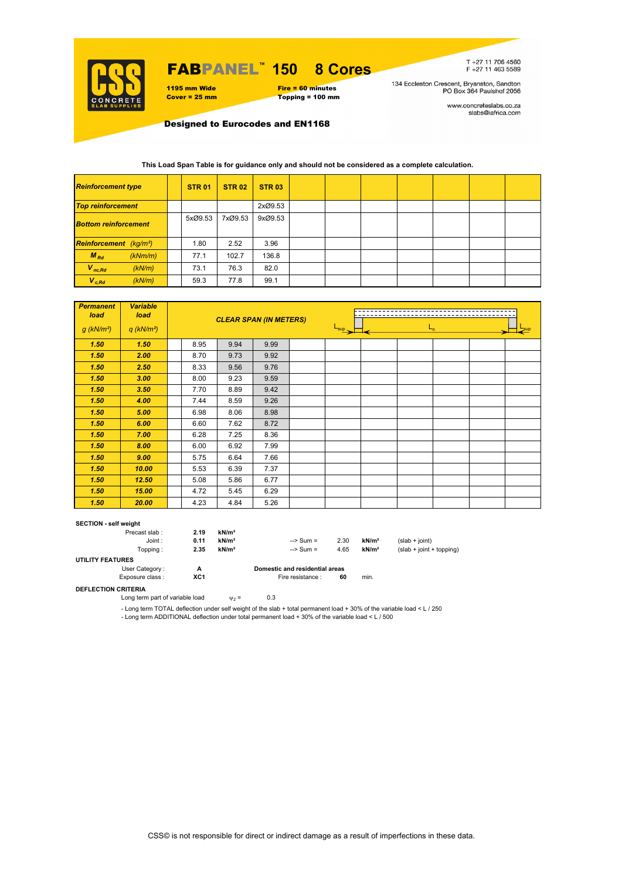

## FABPANEL**™ 150 8 Cores**

1195 mm Wide Fire = 60 minutes<br>
Cover = 25 mm Topping = 100 mm

# $Topping = 100$  mm

T +27 11 706 4560<br>F +27 11 463 5589

134 Eccleston Crescent, Bryanston, Sandton<br>PO Box 364 Paulshof 2056

www.concreteslabs.co.za<br>slabs@iafrica.com

Designed to Eurocodes and EN1168

### **This Load Span Table is for guidance only and should not be considered as a complete calculation.**

| <b>Reinforcement type</b>          |         | <b>STR 01</b> | <b>STR 02</b> | <b>STR 03</b> |  |  |  |  |
|------------------------------------|---------|---------------|---------------|---------------|--|--|--|--|
| <b>Top reinforcement</b>           |         |               |               | 2xØ9.53       |  |  |  |  |
| <b>Bottom reinforcement</b>        |         | 5xØ9.53       | 7xØ9.53       | 9xØ9.53       |  |  |  |  |
| Reinforcement (kg/m <sup>2</sup> ) |         | 1.80          | 2.52          | 3.96          |  |  |  |  |
| $M_{Rd}$                           | (kNm/m) | 77.1          | 102.7         | 136.8         |  |  |  |  |
| $V_{nc,Rd}$                        | (kN/m)  | 73.1          | 76.3          | 82.0          |  |  |  |  |
| $V_{c, Rd}$                        | (kN/m)  | 59.3          | 77.8          | 99.1          |  |  |  |  |

| <b>Permanent</b><br>load | <b>Variable</b><br>load  |      | <b>CLEAR SPAN (IN METERS)</b> |      |  | $L_{n}$<br>$L_{\text{sup}}$<br>$-$ sup |  |  |  |  |  |  |
|--------------------------|--------------------------|------|-------------------------------|------|--|----------------------------------------|--|--|--|--|--|--|
| $g$ (kN/m <sup>2</sup> ) | $q$ (kN/m <sup>2</sup> ) |      |                               |      |  |                                        |  |  |  |  |  |  |
| 1.50                     | 1.50                     | 8.95 | 9.94                          | 9.99 |  |                                        |  |  |  |  |  |  |
| 1.50                     | 2.00                     | 8.70 | 9.73                          | 9.92 |  |                                        |  |  |  |  |  |  |
| 1.50                     | 2.50                     | 8.33 | 9.56                          | 9.76 |  |                                        |  |  |  |  |  |  |
| 1.50                     | 3.00                     | 8.00 | 9.23                          | 9.59 |  |                                        |  |  |  |  |  |  |
| 1.50                     | 3.50                     | 7.70 | 8.89                          | 9.42 |  |                                        |  |  |  |  |  |  |
| 1.50                     | 4.00                     | 7.44 | 8.59                          | 9.26 |  |                                        |  |  |  |  |  |  |
| 1.50                     | 5.00                     | 6.98 | 8.06                          | 8.98 |  |                                        |  |  |  |  |  |  |
| 1.50                     | 6.00                     | 6.60 | 7.62                          | 8.72 |  |                                        |  |  |  |  |  |  |
| 1.50                     | 7.00                     | 6.28 | 7.25                          | 8.36 |  |                                        |  |  |  |  |  |  |
| 1.50                     | 8.00                     | 6.00 | 6.92                          | 7.99 |  |                                        |  |  |  |  |  |  |
| 1.50                     | 9.00                     | 5.75 | 6.64                          | 7.66 |  |                                        |  |  |  |  |  |  |
| 1.50                     | 10.00                    | 5.53 | 6.39                          | 7.37 |  |                                        |  |  |  |  |  |  |
| 1.50                     | 12.50                    | 5.08 | 5.86                          | 6.77 |  |                                        |  |  |  |  |  |  |
| 1.50                     | 15.00                    | 4.72 | 5.45                          | 6.29 |  |                                        |  |  |  |  |  |  |
| 1.50                     | 20.00                    | 4.23 | 4.84                          | 5.26 |  |                                        |  |  |  |  |  |  |

#### **SECTION - self weight**

|                         | Precast slab:   | 2.19 | kN/m <sup>2</sup> |                                |      |                   |                            |
|-------------------------|-----------------|------|-------------------|--------------------------------|------|-------------------|----------------------------|
|                         | Joint:          | 0.11 | kN/m <sup>2</sup> | $\Rightarrow$ Sum =            | 2.30 | kN/m <sup>2</sup> | $(slab + ioint)$           |
|                         | Topping :       | 2.35 | kN/m <sup>2</sup> | $\Rightarrow$ Sum =            | 4.65 | kN/m <sup>2</sup> | $(slab + joint + topping)$ |
| <b>UTILITY FEATURES</b> |                 |      |                   |                                |      |                   |                            |
|                         | User Category:  | А    |                   | Domestic and residential areas |      |                   |                            |
|                         | Exposure class: | XC1  |                   | Fire resistance :              | 60   | min.              |                            |

**DEFLECTION CRITERIA**

Long term part of variable load  $\psi_2 = 0.3$ 

- Long term TOTAL deflection under self weight of the slab + total permanent load + 30% of the variable load < L / 250

- Long term ADDITIONAL deflection under total permanent load + 30% of the variable load < L / 500